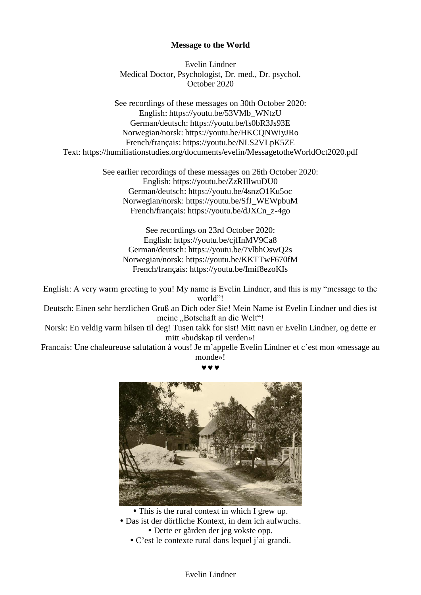# **Message to the World**

Evelin Lindner Medical Doctor, Psychologist, Dr. med., Dr. psychol. October 2020

See recordings of these messages on 30th October 2020: English: https://youtu.be/53VMb\_WNtzU German/deutsch: https://youtu.be/fs0bR3Js93E Norwegian/norsk: https://youtu.be/HKCQNWiyJRo French/français: https://youtu.be/NLS2VLpK5ZE Text: https://humiliationstudies.org/documents/evelin/MessagetotheWorldOct2020.pdf

> See earlier recordings of these messages on 26th October 2020: English: https://youtu.be/ZzRIIlwuDU0 German/deutsch: https://youtu.be/4snzO1Ku5oc Norwegian/norsk: https://youtu.be/SfJ\_WEWpbuM French/français: https://youtu.be/dJXCn\_z-4go

See recordings on 23rd October 2020: English: https://youtu.be/cjfInMV9Ca8 German/deutsch: https://youtu.be/7vlbhOswQ2s Norwegian/norsk: https://youtu.be/KKTTwF670fM French/français: https://youtu.be/Imif8ezoKIs

English: A very warm greeting to you! My name is Evelin Lindner, and this is my "message to the world"!

Deutsch: Einen sehr herzlichen Gruß an Dich oder Sie! Mein Name ist Evelin Lindner und dies ist meine "Botschaft an die Welt"!

Norsk: En veldig varm hilsen til deg! Tusen takk for sist! Mitt navn er Evelin Lindner, og dette er mitt «budskap til verden»!

Francais: Une chaleureuse salutation à vous! Je m'appelle Evelin Lindner et c'est mon «message au monde»!

 $\bm{v}$   $\bm{v}$ 



 This is the rural context in which I grew up. Das ist der dörfliche Kontext, in dem ich aufwuchs. Dette er gården der jeg vokste opp. C'est le contexte rural dans lequel j'ai grandi.

Evelin Lindner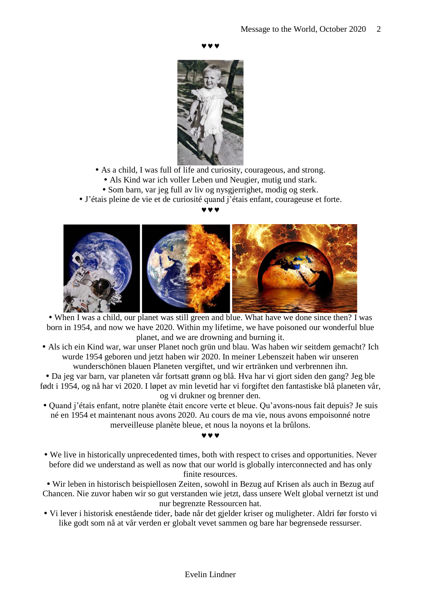$\bm{v}$   $\bm{v}$ 



- As a child, I was full of life and curiosity, courageous, and strong.
	- Als Kind war ich voller Leben und Neugier, mutig und stark.
	- Som barn, var jeg full av liv og nysgjerrighet, modig og sterk.
- J'étais pleine de vie et de curiosité quand j'étais enfant, courageuse et forte.

# $\bm{v}$   $\bm{v}$



 When I was a child, our planet was still green and blue. What have we done since then? I was born in 1954, and now we have 2020. Within my lifetime, we have poisoned our wonderful blue planet, and we are drowning and burning it.

 Als ich ein Kind war, war unser Planet noch grün und blau. Was haben wir seitdem gemacht? Ich wurde 1954 geboren und jetzt haben wir 2020. In meiner Lebenszeit haben wir unseren wunderschönen blauen Planeten vergiftet, und wir ertränken und verbrennen ihn.

 Da jeg var barn, var planeten vår fortsatt grønn og blå. Hva har vi gjort siden den gang? Jeg ble født i 1954, og nå har vi 2020. I løpet av min levetid har vi forgiftet den fantastiske blå planeten vår, og vi drukner og brenner den.

- Quand j'étais enfant, notre planète était encore verte et bleue. Qu'avons-nous fait depuis? Je suis né en 1954 et maintenant nous avons 2020. Au cours de ma vie, nous avons empoisonné notre merveilleuse planète bleue, et nous la noyons et la brûlons.
- $\bm{v}$   $\bm{v}$  We live in historically unprecedented times, both with respect to crises and opportunities. Never before did we understand as well as now that our world is globally interconnected and has only

finite resources.

 Wir leben in historisch beispiellosen Zeiten, sowohl in Bezug auf Krisen als auch in Bezug auf Chancen. Nie zuvor haben wir so gut verstanden wie jetzt, dass unsere Welt global vernetzt ist und nur begrenzte Ressourcen hat.

 Vi lever i historisk enestående tider, bade når det gjelder kriser og muligheter. Aldri før forsto vi like godt som nå at vår verden er globalt vevet sammen og bare har begrensede ressurser.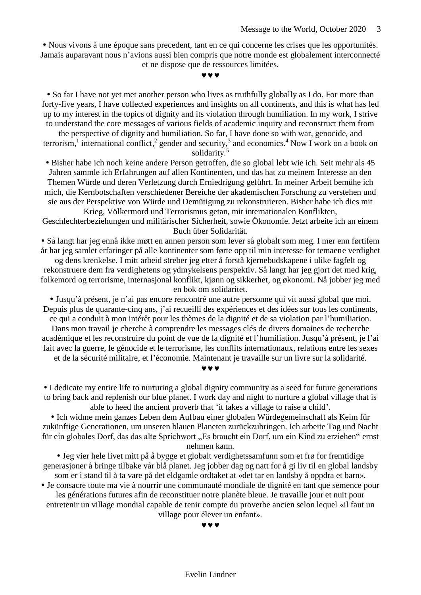Nous vivons à une époque sans precedent, tant en ce qui concerne les crises que les opportunités. Jamais auparavant nous n'avions aussi bien compris que notre monde est globalement interconnecté et ne dispose que de ressources limitées.

 $\bm{v}$   $\bm{v}$ 

 So far I have not yet met another person who lives as truthfully globally as I do. For more than forty-five years, I have collected experiences and insights on all continents, and this is what has led up to my interest in the topics of dignity and its violation through humiliation. In my work, I strive to understand the core messages of various fields of academic inquiry and reconstruct them from

the perspective of dignity and humiliation. So far, I have done so with war, genocide, and terrorism,<sup>1</sup> international conflict,<sup>2</sup> gender and security,<sup>3</sup> and economics.<sup>4</sup> Now I work on a book on solidarity.<sup>5</sup>

 Bisher habe ich noch keine andere Person getroffen, die so global lebt wie ich. Seit mehr als 45 Jahren sammle ich Erfahrungen auf allen Kontinenten, und das hat zu meinem Interesse an den Themen Würde und deren Verletzung durch Erniedrigung geführt. In meiner Arbeit bemühe ich mich, die Kernbotschaften verschiedener Bereiche der akademischen Forschung zu verstehen und sie aus der Perspektive von Würde und Demütigung zu rekonstruieren. Bisher habe ich dies mit

Krieg, Völkermord und Terrorismus getan, mit internationalen Konflikten, Geschlechterbeziehungen und militärischer Sicherheit, sowie Ökonomie. Jetzt arbeite ich an einem Buch über Solidarität.

 Så langt har jeg ennå ikke møtt en annen person som lever så globalt som meg. I mer enn førtifem år har jeg samlet erfaringer på alle kontinenter som førte opp til min interesse for temaene verdighet

og dens krenkelse. I mitt arbeid streber jeg etter å forstå kjernebudskapene i ulike fagfelt og rekonstruere dem fra verdighetens og ydmykelsens perspektiv. Så langt har jeg gjort det med krig, folkemord og terrorisme, internasjonal konflikt, kjønn og sikkerhet, og økonomi. Nå jobber jeg med en bok om solidaritet.

 Jusqu'à présent, je n'ai pas encore rencontré une autre personne qui vit aussi global que moi. Depuis plus de quarante-cinq ans, j'ai recueilli des expériences et des idées sur tous les continents, ce qui a conduit à mon intérêt pour les thèmes de la dignité et de sa violation par l'humiliation.

Dans mon travail je cherche à comprendre les messages clés de divers domaines de recherche académique et les reconstruire du point de vue de la dignité et l'humiliation. Jusqu'à présent, je l'ai fait avec la guerre, le génocide et le terrorisme, les conflits internationaux, relations entre les sexes

et de la sécurité militaire, et l'économie. Maintenant je travaille sur un livre sur la solidarité.

 $\bm{v}$   $\bm{v}$ 

 I dedicate my entire life to nurturing a global dignity community as a seed for future generations to bring back and replenish our blue planet. I work day and night to nurture a global village that is able to heed the ancient proverb that 'it takes a village to raise a child'.

 Ich widme mein ganzes Leben dem Aufbau einer globalen Würdegemeinschaft als Keim für zukünftige Generationen, um unseren blauen Planeten zurückzubringen. Ich arbeite Tag und Nacht für ein globales Dorf, das das alte Sprichwort "Es braucht ein Dorf, um ein Kind zu erziehen" ernst nehmen kann.

 Jeg vier hele livet mitt på å bygge et globalt verdighetssamfunn som et frø for fremtidige generasjoner å bringe tilbake vår blå planet. Jeg jobber dag og natt for å gi liv til en global landsby som er i stand til å ta vare på det eldgamle ordtaket at «det tar en landsby å oppdra et barn».

 Je consacre toute ma vie à nourrir une communauté mondiale de dignité en tant que semence pour les générations futures afin de reconstituer notre planète bleue. Je travaille jour et nuit pour entretenir un village mondial capable de tenir compte du proverbe ancien selon lequel «il faut un village pour élever un enfant».

 $\bm{v}$   $\bm{v}$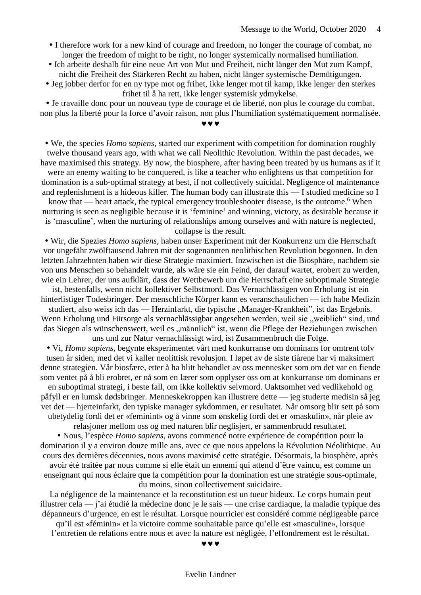- I therefore work for a new kind of courage and freedom, no longer the courage of combat, no longer the freedom of might to be right, no longer systemically normalised humiliation.
- Ich arbeite deshalb für eine neue Art von Mut und Freiheit, nicht länger den Mut zum Kampf, nicht die Freiheit des Stärkeren Recht zu haben, nicht länger systemische Demütigungen.
- Jeg jobber derfor for en ny type mot og frihet, ikke lenger mot til kamp, ikke lenger den sterkes frihet til å ha rett, ikke lenger systemisk ydmykelse.

 Je travaille donc pour un nouveau type de courage et de liberté, non plus le courage du combat, non plus la liberté pour la force d'avoir raison, non plus l'humiliation systématiquement normalisée.

www

 We, the species *Homo sapiens*, started our experiment with competition for domination roughly twelve thousand years ago, with what we call Neolithic Revolution. Within the past decades, we have maximised this strategy. By now, the biosphere, after having been treated by us humans as if it were an enemy waiting to be conquered, is like a teacher who enlightens us that competition for

domination is a sub-optimal strategy at best, if not collectively suicidal. Negligence of maintenance and replenishment is a hideous killer. The human body can illustrate this — I studied medicine so I

know that — heart attack, the typical emergency troubleshooter disease, is the outcome.<sup>6</sup> When nurturing is seen as negligible because it is 'feminine' and winning, victory, as desirable because it is 'masculine', when the nurturing of relationships among ourselves and with nature is neglected, collapse is the result.

 Wir, die Spezies *Homo sapiens*, haben unser Experiment mit der Konkurrenz um die Herrschaft vor ungefähr zwölftausend Jahren mit der sogenannten neolithischen Revolution begonnen. In den letzten Jahrzehnten haben wir diese Strategie maximiert. Inzwischen ist die Biosphäre, nachdem sie von uns Menschen so behandelt wurde, als wäre sie ein Feind, der darauf wartet, erobert zu werden, wie ein Lehrer, der uns aufklärt, dass der Wettbewerb um die Herrschaft eine suboptimale Strategie

ist, bestenfalls, wenn nicht kollektiver Selbstmord. Das Vernachlässigen von Erholung ist ein hinterlistiger Todesbringer. Der menschliche Körper kann es veranschaulichen — ich habe Medizin

studiert, also weiss ich das — Herzinfarkt, die typische "Manager-Krankheit", ist das Ergebnis. Wenn Erholung und Fürsorge als vernachlässigbar angesehen werden, weil sie "weiblich" sind, und das Siegen als wünschenswert, weil es "männlich" ist, wenn die Pflege der Beziehungen zwischen uns und zur Natur vernachlässigt wird, ist Zusammenbruch die Folge.

 Vi, *Homo sapiens*, begynte eksperimentet vårt med konkurranse om dominans for omtrent tolv tusen år siden, med det vi kaller neolittisk revolusjon. I løpet av de siste tiårene har vi maksimert denne strategien. Vår biosfære, etter å ha blitt behandlet av oss mennesker som om det var en fiende som ventet på å bli erobret, er nå som en lærer som opplyser oss om at konkurranse om dominans er en suboptimal strategi, i beste fall, om ikke kollektiv selvmord. Uaktsomhet ved vedlikehold og påfyll er en lumsk dødsbringer. Menneskekroppen kan illustrere dette — jeg studerte medisin så jeg vet det — hjerteinfarkt, den typiske manager sykdommen, er resultatet. Når omsorg blir sett på som ubetydelig fordi det er «feminint» og å vinne som ønskelig fordi det er «maskulin», når pleie av relasjoner mellom oss og med naturen blir neglisjert, er sammenbrudd resultatet.

 Nous, l'espèce *Homo sapiens*, avons commencé notre expérience de compétition pour la domination il y a environ douze mille ans, avec ce que nous appelons la Révolution Néolithique. Au cours des dernières décennies, nous avons maximisé cette stratégie. Désormais, la biosphère, après avoir été traitée par nous comme si elle était un ennemi qui attend d'être vaincu, est comme un enseignant qui nous éclaire que la compétition pour la domination est une stratégie sous-optimale, du moins, sinon collectivement suicidaire.

La négligence de la maintenance et la reconstitution est un tueur hideux. Le corps humain peut illustrer cela — j'ai étudié la médecine donc je le sais — une crise cardiaque, la maladie typique des dépanneurs d'urgence, en est le résultat. Lorsque nourricier est considéré comme négligeable parce qu'il est «féminin» et la victoire comme souhaitable parce qu'elle est «masculine», lorsque l'entretien de relations entre nous et avec la nature est négligée, l'effondrement est le résultat.

v v v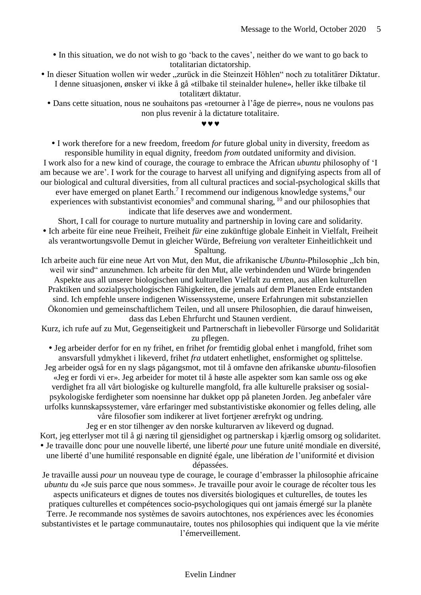In this situation, we do not wish to go 'back to the caves', neither do we want to go back to totalitarian dictatorship.

• In dieser Situation wollen wir weder "zurück in die Steinzeit Höhlen" noch zu totalitärer Diktatur. I denne situasjonen, ønsker vi ikke å gå «tilbake til steinalder hulene», heller ikke tilbake til

totalitært diktatur.

 Dans cette situation, nous ne souhaitons pas «retourner à l'âge de pierre», nous ne voulons pas non plus revenir à la dictature totalitaire.

www

 I work therefore for a new freedom, freedom *for* future global unity in diversity, freedom as responsible humility in equal dignity, freedom *from* outdated uniformity and division.

I work also for a new kind of courage, the courage to embrace the African *ubuntu* philosophy of 'I am because we are'. I work for the courage to harvest all unifying and dignifying aspects from all of our biological and cultural diversities, from all cultural practices and social-psychological skills that ever have emerged on planet Earth.<sup>7</sup> I recommend our indigenous knowledge systems,<sup>8</sup> our experiences with substantivist economies<sup>9</sup> and communal sharing,  $10$  and our philosophies that indicate that life deserves awe and wonderment.

Short, I call for courage to nurture mutuality and partnership in loving care and solidarity. Ich arbeite für eine neue Freiheit, Freiheit *für* eine zukünftige globale Einheit in Vielfalt, Freiheit als verantwortungsvolle Demut in gleicher Würde, Befreiung *von* veralteter Einheitlichkeit und Spaltung.

Ich arbeite auch für eine neue Art von Mut, den Mut, die afrikanische *Ubuntu*-Philosophie "Ich bin, weil wir sind" anzunehmen. Ich arbeite für den Mut, alle verbindenden und Würde bringenden Aspekte aus all unserer biologischen und kulturellen Vielfalt zu ernten, aus allen kulturellen Praktiken und sozialpsychologischen Fähigkeiten, die jemals auf dem Planeten Erde entstanden sind. Ich empfehle unsere indigenen Wissenssysteme, unsere Erfahrungen mit substanziellen Ökonomien und gemeinschaftlichem Teilen, und all unsere Philosophien, die darauf hinweisen, dass das Leben Ehrfurcht und Staunen verdient.

Kurz, ich rufe auf zu Mut, Gegenseitigkeit und Partnerschaft in liebevoller Fürsorge und Solidarität zu pflegen.

 Jeg arbeider derfor for en ny frihet, en frihet *for* fremtidig global enhet i mangfold, frihet som ansvarsfull ydmykhet i likeverd, frihet *fra* utdatert enhetlighet, ensformighet og splittelse. Jeg arbeider også for en ny slags pågangsmot, mot til å omfavne den afrikanske *ubuntu*-filosofien «Jeg er fordi vi er». Jeg arbeider for motet til å høste alle aspekter som kan samle oss og øke verdighet fra all vårt biologiske og kulturelle mangfold, fra alle kulturelle praksiser og sosialpsykologiske ferdigheter som noensinne har dukket opp på planeten Jorden. Jeg anbefaler våre urfolks kunnskapssystemer, våre erfaringer med substantivistiske økonomier og felles deling, alle våre filosofier som indikerer at livet fortjener ærefrykt og undring.

Jeg er en stor tilhenger av den norske kulturarven av likeverd og dugnad. Kort, jeg etterlyser mot til å gi næring til gjensidighet og partnerskap i kjærlig omsorg og solidaritet. Je travaille donc pour une nouvelle liberté, une liberté *pour* une future unité mondiale en diversité, une liberté d'une humilité responsable en dignité égale, une libération *de* l'uniformité et division dépassées.

Je travaille aussi *pour* un nouveau type de courage, le courage d'embrasser la philosophie africaine *ubuntu* du «Je suis parce que nous sommes». Je travaille pour avoir le courage de récolter tous les aspects unificateurs et dignes de toutes nos diversités biologiques et culturelles, de toutes les pratiques culturelles et compétences socio-psychologiques qui ont jamais émergé sur la planète Terre. Je recommande nos systèmes de savoirs autochtones, nos expériences avec les économies

substantivistes et le partage communautaire, toutes nos philosophies qui indiquent que la vie mérite l'émerveillement.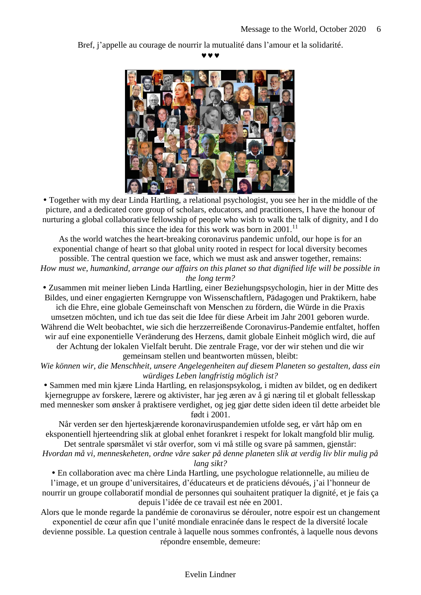Bref, j'appelle au courage de nourrir la mutualité dans l'amour et la solidarité.

 $\bm{v}$   $\bm{v}$ 



 Together with my dear Linda Hartling, a relational psychologist, you see her in the middle of the picture, and a dedicated core group of scholars, educators, and practitioners, I have the honour of nurturing a global collaborative fellowship of people who wish to walk the talk of dignity, and I do this since the idea for this work was born in  $2001$ .<sup>11</sup>

As the world watches the heart-breaking coronavirus pandemic unfold, our hope is for an exponential change of heart so that global unity rooted in respect for local diversity becomes possible. The central question we face, which we must ask and answer together, remains: *How must we, humankind, arrange our affairs on this planet so that dignified life will be possible in the long term?*

 Zusammen mit meiner lieben Linda Hartling, einer Beziehungspsychologin, hier in der Mitte des Bildes, und einer engagierten Kerngruppe von Wissenschaftlern, Pädagogen und Praktikern, habe ich die Ehre, eine globale Gemeinschaft von Menschen zu fördern, die Würde in die Praxis umsetzen möchten, und ich tue das seit die Idee für diese Arbeit im Jahr 2001 geboren wurde. Während die Welt beobachtet, wie sich die herzzerreißende Coronavirus-Pandemie entfaltet, hoffen wir auf eine exponentielle Veränderung des Herzens, damit globale Einheit möglich wird, die auf der Achtung der lokalen Vielfalt beruht. Die zentrale Frage, vor der wir stehen und die wir gemeinsam stellen und beantworten müssen, bleibt:

*Wie können wir, die Menschheit, unsere Angelegenheiten auf diesem Planeten so gestalten, dass ein würdiges Leben langfristig möglich ist?*

 Sammen med min kjære Linda Hartling, en relasjonspsykolog, i midten av bildet, og en dedikert kjernegruppe av forskere, lærere og aktivister, har jeg æren av å gi næring til et globalt fellesskap med mennesker som ønsker å praktisere verdighet, og jeg gjør dette siden ideen til dette arbeidet ble født i 2001.

Når verden ser den hjerteskjærende koronaviruspandemien utfolde seg, er vårt håp om en eksponentiell hjerteendring slik at global enhet forankret i respekt for lokalt mangfold blir mulig. Det sentrale spørsmålet vi står overfor, som vi må stille og svare på sammen, gjenstår:

*Hvordan må vi, menneskeheten, ordne våre saker på denne planeten slik at verdig liv blir mulig på lang sikt?*

En collaboration avec ma chère Linda Hartling, une psychologue relationnelle, au milieu de

l'image, et un groupe d'universitaires, d'éducateurs et de praticiens dévoués, j'ai l'honneur de nourrir un groupe collaboratif mondial de personnes qui souhaitent pratiquer la dignité, et je fais ça depuis l'idée de ce travail est née en 2001.

Alors que le monde regarde la pandémie de coronavirus se dérouler, notre espoir est un changement exponentiel de cœur afin que l'unité mondiale enracinée dans le respect de la diversité locale

devienne possible. La question centrale à laquelle nous sommes confrontés, à laquelle nous devons répondre ensemble, demeure: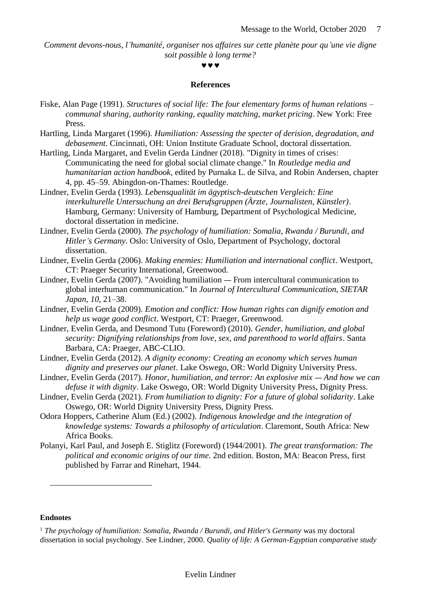*Comment devons-nous, l'humanité, organiser nos affaires sur cette planète pour qu'une vie digne soit possible à long terme?*

#### **MMM**

## **References**

- Fiske, Alan Page (1991). *Structures of social life: The four elementary forms of human relations – communal sharing, authority ranking, equality matching, market pricing*. New York: Free Press.
- Hartling, Linda Margaret (1996). *Humiliation: Assessing the specter of derision, degradation, and debasement*. Cincinnati, OH: Union Institute Graduate School, doctoral dissertation.
- Hartling, Linda Margaret, and Evelin Gerda Lindner (2018). "Dignity in times of crises: Communicating the need for global social climate change." In *Routledge media and humanitarian action handbook*, edited by Purnaka L. de Silva, and Robin Andersen, chapter 4, pp. 45–59. Abingdon-on-Thames: Routledge.
- Lindner, Evelin Gerda (1993). *Lebensqualität im ägyptisch-deutschen Vergleich: Eine interkulturelle Untersuchung an drei Berufsgruppen (Ärzte, Journalisten, Künstler)*. Hamburg, Germany: University of Hamburg, Department of Psychological Medicine, doctoral dissertation in medicine.
- Lindner, Evelin Gerda (2000). *The psychology of humiliation: Somalia, Rwanda / Burundi, and Hitler's Germany*. Oslo: University of Oslo, Department of Psychology, doctoral dissertation.
- Lindner, Evelin Gerda (2006). *Making enemies: Humiliation and international conflict*. Westport, CT: Praeger Security International, Greenwood.
- Lindner, Evelin Gerda (2007). "Avoiding humiliation From intercultural communication to global interhuman communication." In *Journal of Intercultural Communication, SIETAR Japan*, *10*, 21–38.
- Lindner, Evelin Gerda (2009). *Emotion and conflict: How human rights can dignify emotion and help us wage good conflict*. Westport, CT: Praeger, Greenwood.
- Lindner, Evelin Gerda, and Desmond Tutu (Foreword) (2010). *Gender, humiliation, and global security: Dignifying relationships from love, sex, and parenthood to world affairs*. Santa Barbara, CA: Praeger, ABC-CLIO.
- Lindner, Evelin Gerda (2012). *A dignity economy: Creating an economy which serves human dignity and preserves our planet*. Lake Oswego, OR: World Dignity University Press.
- Lindner, Evelin Gerda (2017). *Honor, humiliation, and terror: An explosive mix And how we can defuse it with dignity*. Lake Oswego, OR: World Dignity University Press, Dignity Press.
- Lindner, Evelin Gerda (2021). *From humiliation to dignity: For a future of global solidarity*. Lake Oswego, OR: World Dignity University Press, Dignity Press.
- Odora Hoppers, Catherine Alum (Ed.) (2002). *Indigenous knowledge and the integration of knowledge systems: Towards a philosophy of articulation*. Claremont, South Africa: New Africa Books.
- Polanyi, Karl Paul, and Joseph E. Stiglitz (Foreword) (1944/2001). *The great transformation: The political and economic origins of our time*. 2nd edition. Boston, MA: Beacon Press, first published by Farrar and Rinehart, 1944.

### **Endnotes**

 $\overline{a}$ 

<sup>1</sup> *The psychology of humiliation: Somalia, Rwanda / Burundi, and Hitler's Germany* was my doctoral dissertation in social psychology. See Lindner, 2000. *Quality of life: A German-Egyptian comparative study*